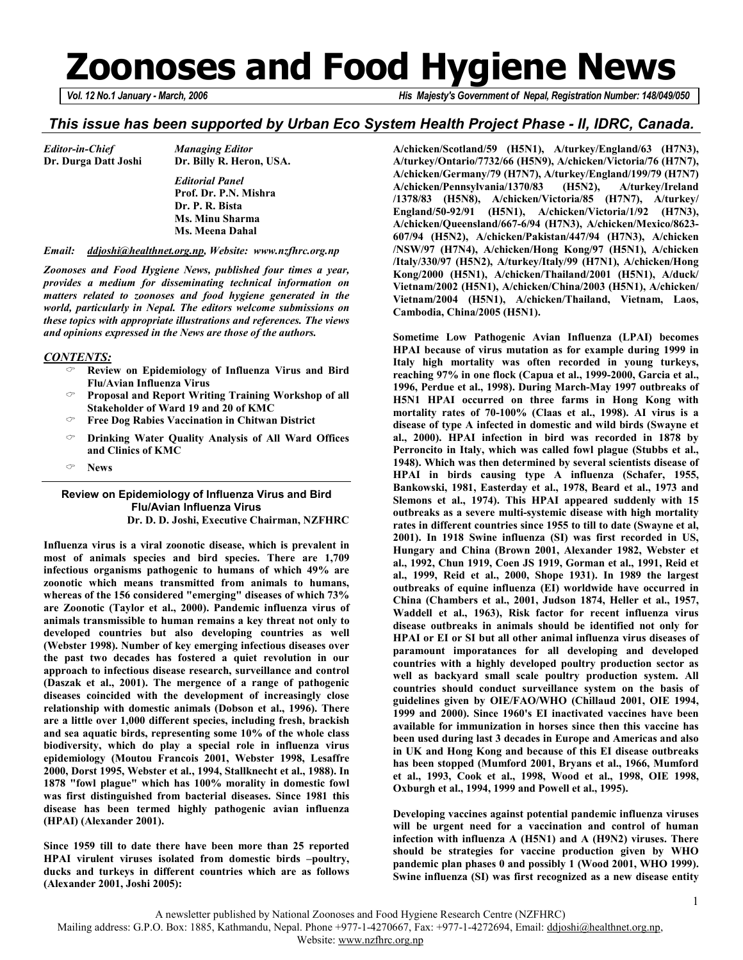# **Zoonoses and Food Hygiene News**

*Vol. 12 No.1 January - March, 2006 His Majesty's Government of Nepal, Registration Number: 148/049/050* 

### *This issue has been supported by Urban Eco System Health Project Phase - II, IDRC, Canada.*

| <b>Editor-in-Chief</b> |  |
|------------------------|--|
| Dr. Durga Datt Josh    |  |

**i** Dr. Billy R. Heron, USA.  *Editorial Panel*   **Prof. Dr. P.N. Mishra Dr. P. R. Bista Ms. Minu Sharma Ms. Meena Dahal** 

*Editor-in-Chief Managing Editor* 

#### *Email: ddjoshi@healthnet.org.np, Website: www.nzfhrc.org.np*

*Zoonoses and Food Hygiene News, published four times a year, provides a medium for disseminating technical information on matters related to zoonoses and food hygiene generated in the world, particularly in Nepal. The editors welcome submissions on these topics with appropriate illustrations and references. The views and opinions expressed in the News are those of the authors.* 

#### *CONTENTS:*

- **Review on Epidemiology of Influenza Virus and Bird Flu/Avian Influenza Virus**
- **Proposal and Report Writing Training Workshop of all Stakeholder of Ward 19 and 20 of KMC**
- **Free Dog Rabies Vaccination in Chitwan District**
- **Drinking Water Quality Analysis of All Ward Offices and Clinics of KMC**
- **News**

#### **Review on Epidemiology of Influenza Virus and Bird Flu/Avian Influenza Virus Dr. D. D. Joshi, Executive Chairman, NZFHRC**

**Influenza virus is a viral zoonotic disease, which is prevalent in most of animals species and bird species. There are 1,709 infectious organisms pathogenic to humans of which 49% are zoonotic which means transmitted from animals to humans, whereas of the 156 considered "emerging" diseases of which 73% are Zoonotic (Taylor et al., 2000). Pandemic influenza virus of animals transmissible to human remains a key threat not only to developed countries but also developing countries as well (Webster 1998). Number of key emerging infectious diseases over the past two decades has fostered a quiet revolution in our approach to infectious disease research, surveillance and control (Daszak et al., 2001). The mergence of a range of pathogenic diseases coincided with the development of increasingly close relationship with domestic animals (Dobson et al., 1996). There are a little over 1,000 different species, including fresh, brackish and sea aquatic birds, representing some 10% of the whole class biodiversity, which do play a special role in influenza virus epidemiology (Moutou Francois 2001, Webster 1998, Lesaffre 2000, Dorst 1995, Webster et al., 1994, Stallknecht et al., 1988). In 1878 "fowl plague" which has 100% morality in domestic fowl was first distinguished from bacterial diseases. Since 1981 this disease has been termed highly pathogenic avian influenza (HPAI) (Alexander 2001).** 

**Since 1959 till to date there have been more than 25 reported HPAI virulent viruses isolated from domestic birds –poultry, ducks and turkeys in different countries which are as follows (Alexander 2001, Joshi 2005):** 

**A/chicken/Scotland/59 (H5N1), A/turkey/England/63 (H7N3), A/turkey/Ontario/7732/66 (H5N9), A/chicken/Victoria/76 (H7N7), A/chicken/Germany/79 (H7N7), A/turkey/England/199/79 (H7N7) A/chicken/Pennsylvania/1370/83 (H5N2), A/turkey/Ireland /1378/83 (H5N8), A/chicken/Victoria/85 (H7N7), A/turkey/ England/50-92/91 (H5N1), A/chicken/Victoria/1/92 (H7N3), A/chicken/Queensland/667-6/94 (H7N3), A/chicken/Mexico/8623- 607/94 (H5N2), A/chicken/Pakistan/447/94 (H7N3), A/chicken /NSW/97 (H7N4), A/chicken/Hong Kong/97 (H5N1), A/chicken /Italy/330/97 (H5N2), A/turkey/Italy/99 (H7N1), A/chicken/Hong Kong/2000 (H5N1), A/chicken/Thailand/2001 (H5N1), A/duck/ Vietnam/2002 (H5N1), A/chicken/China/2003 (H5N1), A/chicken/ Vietnam/2004 (H5N1), A/chicken/Thailand, Vietnam, Laos, Cambodia, China/2005 (H5N1).** 

**Sometime Low Pathogenic Avian Influenza (LPAI) becomes HPAI because of virus mutation as for example during 1999 in Italy high mortality was often recorded in young turkeys, reaching 97% in one flock (Capua et al., 1999-2000, Garcia et al., 1996, Perdue et al., 1998). During March-May 1997 outbreaks of H5N1 HPAI occurred on three farms in Hong Kong with mortality rates of 70-100% (Claas et al., 1998). AI virus is a disease of type A infected in domestic and wild birds (Swayne et al., 2000). HPAI infection in bird was recorded in 1878 by Perroncito in Italy, which was called fowl plague (Stubbs et al., 1948). Which was then determined by several scientists disease of HPAI in birds causing type A influenza (Schafer, 1955, Bankowski, 1981, Easterday et al., 1978, Beard et al., 1973 and Slemons et al., 1974). This HPAI appeared suddenly with 15 outbreaks as a severe multi-systemic disease with high mortality rates in different countries since 1955 to till to date (Swayne et al, 2001). In 1918 Swine influenza (SI) was first recorded in US, Hungary and China (Brown 2001, Alexander 1982, Webster et al., 1992, Chun 1919, Coen JS 1919, Gorman et al., 1991, Reid et al., 1999, Reid et al., 2000, Shope 1931). In 1989 the largest outbreaks of equine influenza (EI) worldwide have occurred in China (Chambers et al., 2001, Judson 1874, Heller et al., 1957, Waddell et al., 1963), Risk factor for recent influenza virus disease outbreaks in animals should be identified not only for HPAI or EI or SI but all other animal influenza virus diseases of paramount imporatances for all developing and developed countries with a highly developed poultry production sector as well as backyard small scale poultry production system. All countries should conduct surveillance system on the basis of guidelines given by OIE/FAO/WHO (Chillaud 2001, OIE 1994, 1999 and 2000). Since 1960's EI inactivated vaccines have been available for immunization in horses since then this vaccine has been used during last 3 decades in Europe and Americas and also in UK and Hong Kong and because of this EI disease outbreaks has been stopped (Mumford 2001, Bryans et al., 1966, Mumford et al., 1993, Cook et al., 1998, Wood et al., 1998, OIE 1998, Oxburgh et al., 1994, 1999 and Powell et al., 1995).** 

**Developing vaccines against potential pandemic influenza viruses will be urgent need for a vaccination and control of human infection with influenza A (H5N1) and A (H9N2) viruses. There should be strategies for vaccine production given by WHO pandemic plan phases 0 and possibly 1 (Wood 2001, WHO 1999). Swine influenza (SI) was first recognized as a new disease entity**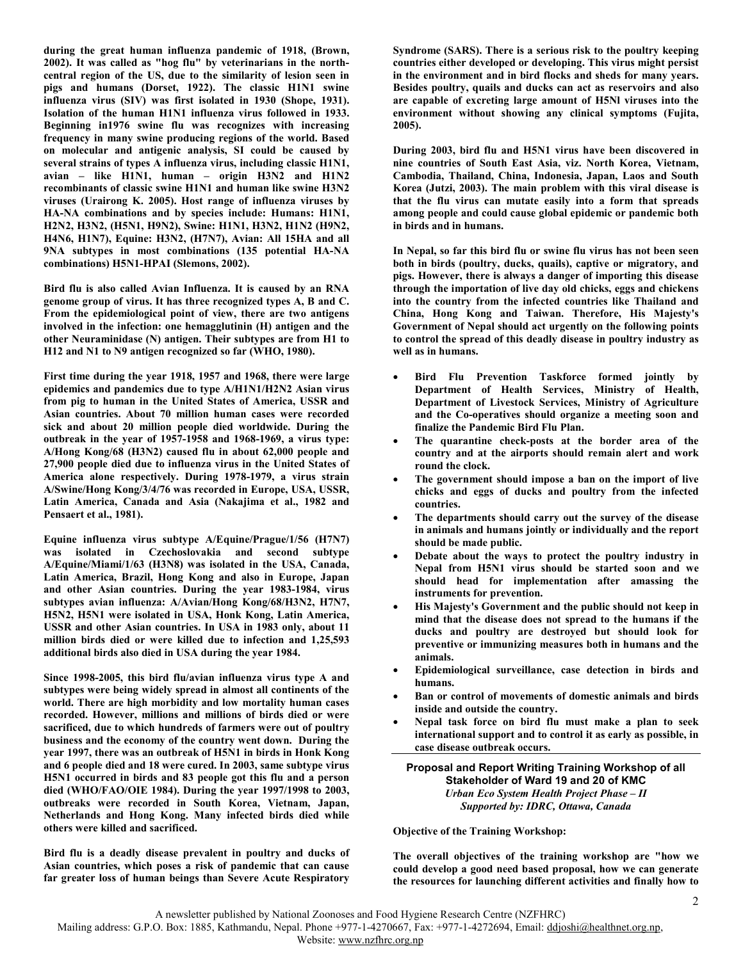**during the great human influenza pandemic of 1918, (Brown, 2002). It was called as "hog flu" by veterinarians in the northcentral region of the US, due to the similarity of lesion seen in pigs and humans (Dorset, 1922). The classic H1N1 swine influenza virus (SIV) was first isolated in 1930 (Shope, 1931). Isolation of the human H1N1 influenza virus followed in 1933. Beginning in1976 swine flu was recognizes with increasing frequency in many swine producing regions of the world. Based on molecular and antigenic analysis, SI could be caused by several strains of types A influenza virus, including classic H1N1, avian – like H1N1, human – origin H3N2 and H1N2 recombinants of classic swine H1N1 and human like swine H3N2 viruses (Urairong K. 2005). Host range of influenza viruses by HA-NA combinations and by species include: Humans: H1N1, H2N2, H3N2, (H5N1, H9N2), Swine: H1N1, H3N2, H1N2 (H9N2, H4N6, H1N7), Equine: H3N2, (H7N7), Avian: All 15HA and all 9NA subtypes in most combinations (135 potential HA-NA combinations) H5N1-HPAI (Slemons, 2002).** 

**Bird flu is also called Avian Influenza. It is caused by an RNA genome group of virus. It has three recognized types A, B and C. From the epidemiological point of view, there are two antigens involved in the infection: one hemagglutinin (H) antigen and the other Neuraminidase (N) antigen. Their subtypes are from H1 to H12 and N1 to N9 antigen recognized so far (WHO, 1980).** 

**First time during the year 1918, 1957 and 1968, there were large epidemics and pandemics due to type A/H1N1/H2N2 Asian virus from pig to human in the United States of America, USSR and Asian countries. About 70 million human cases were recorded sick and about 20 million people died worldwide. During the outbreak in the year of 1957-1958 and 1968-1969, a virus type: A/Hong Kong/68 (H3N2) caused flu in about 62,000 people and 27,900 people died due to influenza virus in the United States of America alone respectively. During 1978-1979, a virus strain A/Swine/Hong Kong/3/4/76 was recorded in Europe, USA, USSR, Latin America, Canada and Asia (Nakajima et al., 1982 and Pensaert et al., 1981).** 

**Equine influenza virus subtype A/Equine/Prague/1/56 (H7N7) was isolated in Czechoslovakia and second subtype A/Equine/Miami/1/63 (H3N8) was isolated in the USA, Canada, Latin America, Brazil, Hong Kong and also in Europe, Japan and other Asian countries. During the year 1983-1984, virus subtypes avian influenza: A/Avian/Hong Kong/68/H3N2, H7N7, H5N2, H5N1 were isolated in USA, Honk Kong, Latin America, USSR and other Asian countries. In USA in 1983 only, about 11 million birds died or were killed due to infection and 1,25,593 additional birds also died in USA during the year 1984.** 

**Since 1998-2005, this bird flu/avian influenza virus type A and subtypes were being widely spread in almost all continents of the world. There are high morbidity and low mortality human cases recorded. However, millions and millions of birds died or were sacrificed, due to which hundreds of farmers were out of poultry business and the economy of the country went down. During the year 1997, there was an outbreak of H5N1 in birds in Honk Kong and 6 people died and 18 were cured. In 2003, same subtype virus H5N1 occurred in birds and 83 people got this flu and a person died (WHO/FAO/OIE 1984). During the year 1997/1998 to 2003, outbreaks were recorded in South Korea, Vietnam, Japan, Netherlands and Hong Kong. Many infected birds died while others were killed and sacrificed.** 

**Bird flu is a deadly disease prevalent in poultry and ducks of Asian countries, which poses a risk of pandemic that can cause far greater loss of human beings than Severe Acute Respiratory** 

**Syndrome (SARS). There is a serious risk to the poultry keeping countries either developed or developing. This virus might persist in the environment and in bird flocks and sheds for many years. Besides poultry, quails and ducks can act as reservoirs and also are capable of excreting large amount of H5Nl viruses into the environment without showing any clinical symptoms (Fujita, 2005).** 

**During 2003, bird flu and H5N1 virus have been discovered in nine countries of South East Asia, viz. North Korea, Vietnam, Cambodia, Thailand, China, Indonesia, Japan, Laos and South Korea (Jutzi, 2003). The main problem with this viral disease is that the flu virus can mutate easily into a form that spreads among people and could cause global epidemic or pandemic both in birds and in humans.** 

**In Nepal, so far this bird flu or swine flu virus has not been seen both in birds (poultry, ducks, quails), captive or migratory, and pigs. However, there is always a danger of importing this disease through the importation of live day old chicks, eggs and chickens into the country from the infected countries like Thailand and China, Hong Kong and Taiwan. Therefore, His Majesty's Government of Nepal should act urgently on the following points to control the spread of this deadly disease in poultry industry as well as in humans.** 

- **Bird Flu Prevention Taskforce formed jointly by Department of Health Services, Ministry of Health, Department of Livestock Services, Ministry of Agriculture and the Co-operatives should organize a meeting soon and finalize the Pandemic Bird Flu Plan.**
- The quarantine check-posts at the border area of the **country and at the airports should remain alert and work round the clock.**
- **The government should impose a ban on the import of live chicks and eggs of ducks and poultry from the infected countries.**
- **The departments should carry out the survey of the disease in animals and humans jointly or individually and the report should be made public.**
- **Debate about the ways to protect the poultry industry in Nepal from H5N1 virus should be started soon and we should head for implementation after amassing the instruments for prevention.**
- **His Majesty's Government and the public should not keep in mind that the disease does not spread to the humans if the ducks and poultry are destroyed but should look for preventive or immunizing measures both in humans and the animals.**
- **Epidemiological surveillance, case detection in birds and humans.**
- **Ban or control of movements of domestic animals and birds inside and outside the country.**
- **Nepal task force on bird flu must make a plan to seek international support and to control it as early as possible, in case disease outbreak occurs.**

**Proposal and Report Writing Training Workshop of all Stakeholder of Ward 19 and 20 of KMC**  *Urban Eco System Health Project Phase – II Supported by: IDRC, Ottawa, Canada* 

**Objective of the Training Workshop:** 

**The overall objectives of the training workshop are "how we could develop a good need based proposal, how we can generate the resources for launching different activities and finally how to**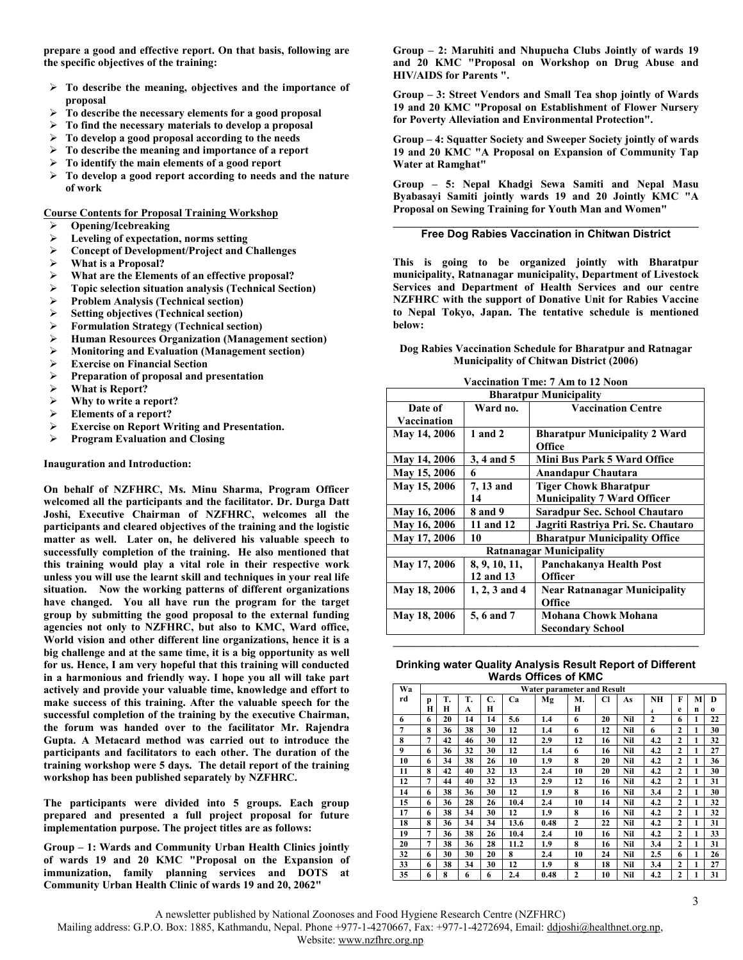**prepare a good and effective report. On that basis, following are the specific objectives of the training:** 

- **To describe the meaning, objectives and the importance of proposal**
- **To describe the necessary elements for a good proposal**
- **To find the necessary materials to develop a proposal**
- **To develop a good proposal according to the needs**
- **To describe the meaning and importance of a report**
- **To identify the main elements of a good report**
- **To develop a good report according to needs and the nature of work**

**Course Contents for Proposal Training Workshop**

- **Opening/Icebreaking**
- **Leveling of expectation, norms setting**
- **Concept of Development/Project and Challenges**
- **What is a Proposal?**
- **What are the Elements of an effective proposal?**
- **Topic selection situation analysis (Technical Section)**
- **Problem Analysis (Technical section)**
- **►** Setting objectives (Technical section)<br>► Formulation Strategy (Technical sect
- **Formulation Strategy (Technical section)**
- **Human Resources Organization (Management section)**
- **Monitoring and Evaluation (Management section)**
- **Exercise on Financial Section**
- **Preparation of proposal and presentation**
- **What is Report?**
- **Why to write a report?**
- **Elements of a report?**
- **Exercise on Report Writing and Presentation.**<br>► Program Evaluation and Closing
- **Program Evaluation and Closing**

**Inauguration and Introduction:** 

**On behalf of NZFHRC, Ms. Minu Sharma, Program Officer welcomed all the participants and the facilitator. Dr. Durga Datt Joshi, Executive Chairman of NZFHRC, welcomes all the participants and cleared objectives of the training and the logistic matter as well. Later on, he delivered his valuable speech to successfully completion of the training. He also mentioned that this training would play a vital role in their respective work unless you will use the learnt skill and techniques in your real life situation. Now the working patterns of different organizations have changed. You all have run the program for the target group by submitting the good proposal to the external funding agencies not only to NZFHRC, but also to KMC, Ward office, World vision and other different line organizations, hence it is a big challenge and at the same time, it is a big opportunity as well for us. Hence, I am very hopeful that this training will conducted in a harmonious and friendly way. I hope you all will take part actively and provide your valuable time, knowledge and effort to make success of this training. After the valuable speech for the successful completion of the training by the executive Chairman, the forum was handed over to the facilitator Mr. Rajendra Gupta. A Metacard method was carried out to introduce the participants and facilitators to each other. The duration of the training workshop were 5 days. The detail report of the training workshop has been published separately by NZFHRC.** 

**The participants were divided into 5 groups. Each group prepared and presented a full project proposal for future implementation purpose. The project titles are as follows:** 

**Group – 1: Wards and Community Urban Health Clinics jointly of wards 19 and 20 KMC "Proposal on the Expansion of immunization, family planning services and DOTS at Community Urban Health Clinic of wards 19 and 20, 2062"** 

**Group – 2: Maruhiti and Nhupucha Clubs Jointly of wards 19 and 20 KMC "Proposal on Workshop on Drug Abuse and HIV/AIDS for Parents ".** 

**Group – 3: Street Vendors and Small Tea shop jointly of Wards 19 and 20 KMC "Proposal on Establishment of Flower Nursery for Poverty Alleviation and Environmental Protection".** 

**Group – 4: Squatter Society and Sweeper Society jointly of wards 19 and 20 KMC "A Proposal on Expansion of Community Tap Water at Ramghat"** 

**Group – 5: Nepal Khadgi Sewa Samiti and Nepal Masu Byabasayi Samiti jointly wards 19 and 20 Jointly KMC "A Proposal on Sewing Training for Youth Man and Women"** 

#### **\_\_\_\_\_\_\_\_\_\_\_\_\_\_\_\_\_\_\_\_\_\_\_\_\_\_\_\_\_\_\_\_\_\_\_\_\_\_\_\_\_\_\_\_\_\_\_\_\_\_\_\_\_\_\_\_ Free Dog Rabies Vaccination in Chitwan District**

**This is going to be organized jointly with Bharatpur municipality, Ratnanagar municipality, Department of Livestock Services and Department of Health Services and our centre NZFHRC with the support of Donative Unit for Rabies Vaccine to Nepal Tokyo, Japan. The tentative schedule is mentioned below:** 

#### **Dog Rabies Vaccination Schedule for Bharatpur and Ratnagar Municipality of Chitwan District (2006)**

| Vaccination Tme: 7 Am to 12 Noon |  |  |  |
|----------------------------------|--|--|--|
|----------------------------------|--|--|--|

| <b>Bharatpur Municipality</b> |                                       |                                      |  |  |  |  |  |  |
|-------------------------------|---------------------------------------|--------------------------------------|--|--|--|--|--|--|
| Date of                       | <b>Vaccination Centre</b><br>Ward no. |                                      |  |  |  |  |  |  |
| Vaccination                   |                                       |                                      |  |  |  |  |  |  |
| <b>May 14, 2006</b>           | $1$ and $2$                           | <b>Bharatpur Municipality 2 Ward</b> |  |  |  |  |  |  |
|                               |                                       | Office                               |  |  |  |  |  |  |
| <b>May 14, 2006</b>           | 3, 4 and 5                            | <b>Mini Bus Park 5 Ward Office</b>   |  |  |  |  |  |  |
| <b>May 15, 2006</b>           | 6                                     | Anandapur Chautara                   |  |  |  |  |  |  |
| May 15, 2006                  | 7, 13 and                             | <b>Tiger Chowk Bharatpur</b>         |  |  |  |  |  |  |
|                               | 14                                    | <b>Municipality 7 Ward Officer</b>   |  |  |  |  |  |  |
| <b>May 16, 2006</b>           | 8 and 9                               | Saradpur Sec. School Chautaro        |  |  |  |  |  |  |
| <b>May 16, 2006</b>           | 11 and 12                             | Jagriti Rastriya Pri. Sc. Chautaro   |  |  |  |  |  |  |
| May 17, 2006                  | 10                                    | <b>Bharatpur Municipality Office</b> |  |  |  |  |  |  |
|                               |                                       | Ratnanagar Municipality              |  |  |  |  |  |  |
| <b>May 17, 2006</b>           | 8, 9, 10, 11,                         | Panchakanya Health Post              |  |  |  |  |  |  |
|                               | 12 and 13                             | <b>Officer</b>                       |  |  |  |  |  |  |
| <b>May 18, 2006</b>           | 1, 2, 3 and 4                         | <b>Near Ratnanagar Municipality</b>  |  |  |  |  |  |  |
|                               |                                       | Office                               |  |  |  |  |  |  |
| <b>May 18, 2006</b>           | 5, 6 and 7                            | Mohana Chowk Mohana                  |  |  |  |  |  |  |
|                               |                                       | <b>Secondary School</b>              |  |  |  |  |  |  |

#### **Drinking water Quality Analysis Result Report of Different Wards Offices of KMC**

**\_\_\_\_\_\_\_\_\_\_\_\_\_\_\_\_\_\_\_\_\_\_\_\_\_\_\_\_\_\_\_\_\_\_\_\_\_\_\_\_\_\_\_\_\_\_\_\_\_\_\_\_\_\_\_\_** 

| Wa             | Water parameter and Result |    |    |    |      |      |              |    |     |                         |              |   |          |
|----------------|----------------------------|----|----|----|------|------|--------------|----|-----|-------------------------|--------------|---|----------|
| rd             | p                          | T. | T. | C. | Ca   | Mg   | М.           | Cl | As  | NH                      | F            | М | D        |
|                | Ħ                          | Н  | A  | Н  |      |      | Н            |    |     | $\overline{\mathbf{4}}$ | e            | n | $\Omega$ |
| 6              | 6                          | 20 | 14 | 14 | 5.6  | 1.4  | 6            | 20 | Nil | $\mathbf{2}$            | 6            | 1 | 22       |
| $\overline{7}$ | 8                          | 36 | 38 | 30 | 12   | 1.4  | 6            | 12 | Nil | 6                       | 2            | 1 | 30       |
| 8              | 7                          | 42 | 46 | 30 | 12   | 2.9  | 12           | 16 | Nil | 4.2                     | $\mathbf{2}$ | 1 | 32       |
| 9              | 6                          | 36 | 32 | 30 | 12   | 1.4  | 6            | 16 | Nil | 4.2                     | $\mathbf{2}$ | 1 | 27       |
| 10             | 6                          | 34 | 38 | 26 | 10   | 1.9  | 8            | 20 | Nil | 4.2                     | $\mathbf{2}$ | 1 | 36       |
| 11             | 8                          | 42 | 40 | 32 | 13   | 2.4  | 10           | 20 | Nil | 4.2                     | $\mathbf{2}$ | 1 | 30       |
| 12             | 7                          | 44 | 40 | 32 | 13   | 2.9  | 12           | 16 | Nil | 4.2                     | $\mathbf{2}$ | 1 | 31       |
| 14             | 6                          | 38 | 36 | 30 | 12   | 1.9  | 8            | 16 | Nil | 3.4                     | $\mathbf{2}$ | 1 | 30       |
| 15             | 6                          | 36 | 28 | 26 | 10.4 | 2.4  | 10           | 14 | Nil | 4.2                     | $\mathbf{2}$ | 1 | 32       |
| 17             | 6                          | 38 | 34 | 30 | 12   | 1.9  | 8            | 16 | Nil | 4.2                     | $\mathbf{2}$ | 1 | 32       |
| 18             | 8                          | 36 | 34 | 34 | 13.6 | 0.48 | $\mathbf{2}$ | 22 | Nil | 4.2                     | $\mathbf{2}$ | 1 | 31       |
| 19             | 7                          | 36 | 38 | 26 | 10.4 | 2.4  | 10           | 16 | Nil | 4.2                     | 2            | 1 | 33       |
| 20             | 7                          | 38 | 36 | 28 | 11.2 | 1.9  | 8            | 16 | Nil | 3.4                     | $\mathbf{2}$ | 1 | 31       |
| 32             | 6                          | 30 | 30 | 20 | 8    | 2.4  | 10           | 24 | Nil | 2.5                     | 6            | 1 | 26       |
| 33             | 6                          | 38 | 34 | 30 | 12   | 1.9  | 8            | 18 | Nil | 3.4                     | $\mathbf{2}$ | 1 | 27       |
| 35             | 6                          | 8  | 6  | 6  | 2.4  | 0.48 | 2            | 10 | Nil | 4.2                     | 2            | 1 | 31       |

Mailing address: G.P.O. Box: 1885, Kathmandu, Nepal. Phone +977-1-4270667, Fax: +977-1-4272694, Email: ddjoshi@healthnet.org.np,